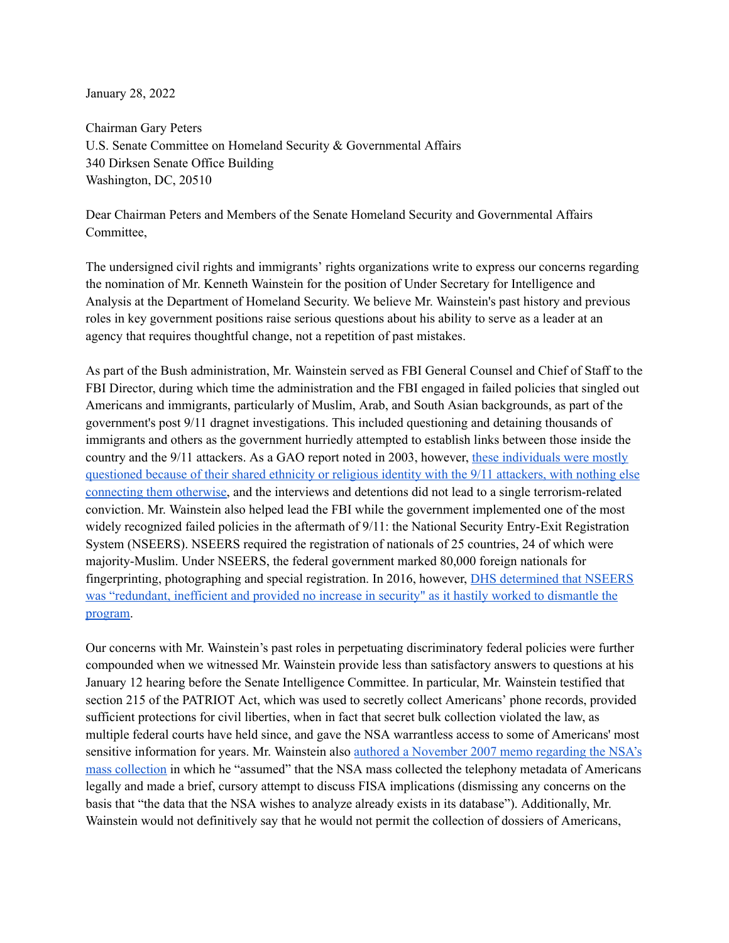January 28, 2022

Chairman Gary Peters U.S. Senate Committee on Homeland Security & Governmental Affairs 340 Dirksen Senate Office Building Washington, DC, 20510

Dear Chairman Peters and Members of the Senate Homeland Security and Governmental Affairs Committee,

The undersigned civil rights and immigrants' rights organizations write to express our concerns regarding the nomination of Mr. Kenneth Wainstein for the position of Under Secretary for Intelligence and Analysis at the Department of Homeland Security. We believe Mr. Wainstein's past history and previous roles in key government positions raise serious questions about his ability to serve as a leader at an agency that requires thoughtful change, not a repetition of past mistakes.

As part of the Bush administration, Mr. Wainstein served as FBI General Counsel and Chief of Staff to the FBI Director, during which time the administration and the FBI engaged in failed policies that singled out Americans and immigrants, particularly of Muslim, Arab, and South Asian backgrounds, as part of the government's post 9/11 dragnet investigations. This included questioning and detaining thousands of immigrants and others as the government hurriedly attempted to establish links between those inside the country and the 9/11 attackers. As a GAO report noted in 2003, however, these [individuals](https://www.gao.gov/assets/gao-03-459.pdf) were mostly [questioned](https://www.gao.gov/assets/gao-03-459.pdf) because of their shared ethnicity or religious identity with the 9/11 attackers, with nothing else [connecting](https://www.gao.gov/assets/gao-03-459.pdf) them otherwise, and the interviews and detentions did not lead to a single terrorism-related conviction. Mr. Wainstein also helped lead the FBI while the government implemented one of the most widely recognized failed policies in the aftermath of  $9/11$ : the National Security Entry-Exit Registration System (NSEERS). NSEERS required the registration of nationals of 25 countries, 24 of which were majority-Muslim. Under NSEERS, the federal government marked 80,000 foreign nationals for fingerprinting, photographing and special registration. In 2016, however, DHS [determined](https://www.nytimes.com/2016/12/%2022/nyregion/obama-to-dismantle-visitor-registry-before-trump-can-revive-it.html) that NSEERS was ["redundant,](https://www.nytimes.com/2016/12/%2022/nyregion/obama-to-dismantle-visitor-registry-before-trump-can-revive-it.html) inefficient and provided no increase in security" as it hastily worked to dismantle the [program.](https://www.nytimes.com/2016/12/%2022/nyregion/obama-to-dismantle-visitor-registry-before-trump-can-revive-it.html)

Our concerns with Mr. Wainstein's past roles in perpetuating discriminatory federal policies were further compounded when we witnessed Mr. Wainstein provide less than satisfactory answers to questions at his January 12 hearing before the Senate Intelligence Committee. In particular, Mr. Wainstein testified that section 215 of the PATRIOT Act, which was used to secretly collect Americans' phone records, provided sufficient protections for civil liberties, when in fact that secret bulk collection violated the law, as multiple federal courts have held since, and gave the NSA warrantless access to some of Americans' most sensitive information for years. Mr. Wainstein also authored a [November](https://www.theguardian.com/world/interactive/2013/jun/27/nsa-data-collection-justice-department) 2007 memo regarding the NSA's mass [collection](https://www.theguardian.com/world/interactive/2013/jun/27/nsa-data-collection-justice-department) in which he "assumed" that the NSA mass collected the telephony metadata of Americans legally and made a brief, cursory attempt to discuss FISA implications (dismissing any concerns on the basis that "the data that the NSA wishes to analyze already exists in its database"). Additionally, Mr. Wainstein would not definitively say that he would not permit the collection of dossiers of Americans,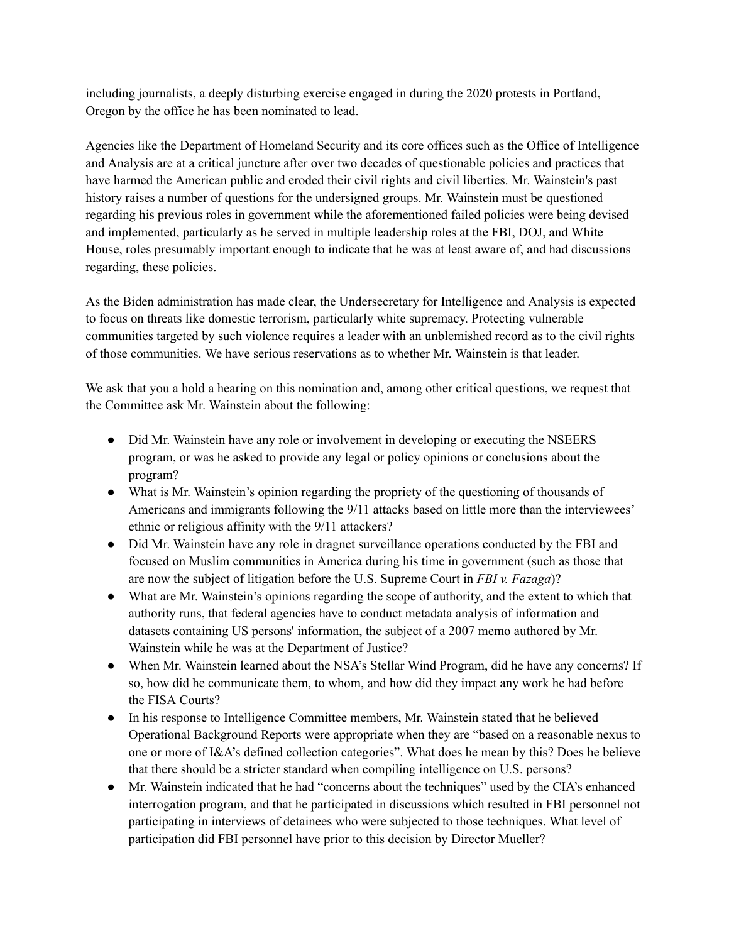including journalists, a deeply disturbing exercise engaged in during the 2020 protests in Portland, Oregon by the office he has been nominated to lead.

Agencies like the Department of Homeland Security and its core offices such as the Office of Intelligence and Analysis are at a critical juncture after over two decades of questionable policies and practices that have harmed the American public and eroded their civil rights and civil liberties. Mr. Wainstein's past history raises a number of questions for the undersigned groups. Mr. Wainstein must be questioned regarding his previous roles in government while the aforementioned failed policies were being devised and implemented, particularly as he served in multiple leadership roles at the FBI, DOJ, and White House, roles presumably important enough to indicate that he was at least aware of, and had discussions regarding, these policies.

As the Biden administration has made clear, the Undersecretary for Intelligence and Analysis is expected to focus on threats like domestic terrorism, particularly white supremacy. Protecting vulnerable communities targeted by such violence requires a leader with an unblemished record as to the civil rights of those communities. We have serious reservations as to whether Mr. Wainstein is that leader.

We ask that you a hold a hearing on this nomination and, among other critical questions, we request that the Committee ask Mr. Wainstein about the following:

- Did Mr. Wainstein have any role or involvement in developing or executing the NSEERS program, or was he asked to provide any legal or policy opinions or conclusions about the program?
- What is Mr. Wainstein's opinion regarding the propriety of the questioning of thousands of Americans and immigrants following the 9/11 attacks based on little more than the interviewees' ethnic or religious affinity with the 9/11 attackers?
- Did Mr. Wainstein have any role in dragnet surveillance operations conducted by the FBI and focused on Muslim communities in America during his time in government (such as those that are now the subject of litigation before the U.S. Supreme Court in *FBI v. Fazaga*)?
- What are Mr. Wainstein's opinions regarding the scope of authority, and the extent to which that authority runs, that federal agencies have to conduct metadata analysis of information and datasets containing US persons' information, the subject of a 2007 memo authored by Mr. Wainstein while he was at the Department of Justice?
- When Mr. Wainstein learned about the NSA's Stellar Wind Program, did he have any concerns? If so, how did he communicate them, to whom, and how did they impact any work he had before the FISA Courts?
- In his response to Intelligence Committee members, Mr. Wainstein stated that he believed Operational Background Reports were appropriate when they are "based on a reasonable nexus to one or more of I&A's defined collection categories". What does he mean by this? Does he believe that there should be a stricter standard when compiling intelligence on U.S. persons?
- Mr. Wainstein indicated that he had "concerns about the techniques" used by the CIA's enhanced interrogation program, and that he participated in discussions which resulted in FBI personnel not participating in interviews of detainees who were subjected to those techniques. What level of participation did FBI personnel have prior to this decision by Director Mueller?